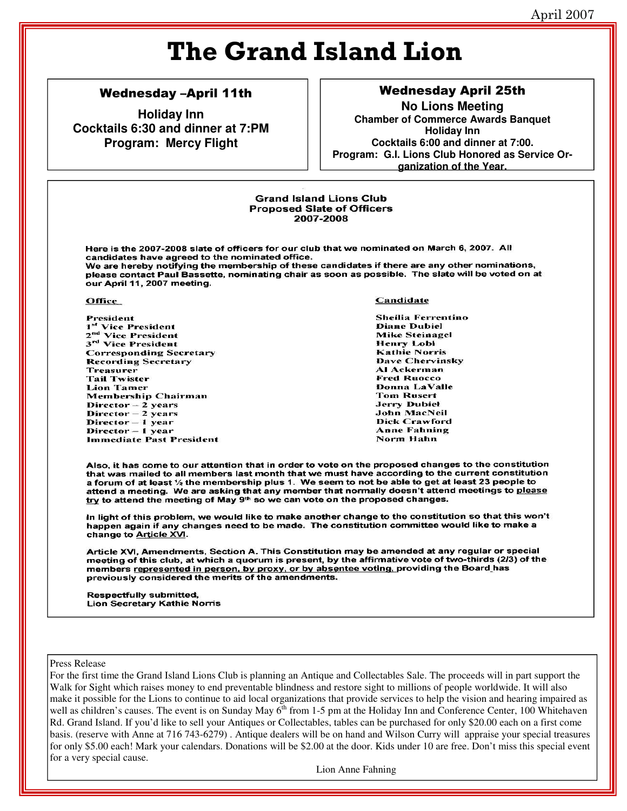# **The Grand Island Lion**

### Wednesday –April 11th

**Holiday Inn Cocktails 6:30 and dinner at 7:PM Program: Mercy Flight**

# Wednesday April 25th

**No Lions Meeting Chamber of Commerce Awards Banquet Holiday Inn Cocktails 6:00 and dinner at 7:00. Program: G.I. Lions Club Honored as Service Organization of the Year.**

#### **Grand Island Lions Club Proposed Slate of Officers** 2007-2008

Here is the 2007-2008 slate of officers for our club that we nominated on March 6, 2007. All candidates have agreed to the nominated office. We are hereby notifying the membership of these candidates if there are any other nominations, please contact Paul Bassette, nominating chair as soon as possible. The slate will be voted on at our April 11, 2007 meeting.

#### **Office**

President <sup>1st</sup> Vice President 2<sup>nd</sup> Vice President 3<sup>rd</sup> Vice President **Corresponding Secretary Recording Secretary Treasurer Tail Twister Lion Tamer Membership Chairman**  $Director - 2 years$ Director - 2 years Director - 1 year Director - 1 year **Immediate Past President** 

#### Candidate

Sheilia Ferrentino **Diane Dubiel Mike Steinagel Henry Lobi Kathie Norris** Dave Chervinsky **Al Ackerman Fred Ruocco** Donna LaValle **Tom Rusert Jerry Dubiel** John MacNeil **Dick Crawford Anne Fahning** Norm Hahn

Also, it has come to our attention that in order to vote on the proposed changes to the constitution that was mailed to all members last month that we must have according to the current constitution a forum of at least 1/2 the membership plus 1. We seem to not be able to get at least 23 people to attend a meeting. We are asking that any member that normally doesn't attend meetings to please try to attend the meeting of May 9th so we can vote on the proposed changes.

In light of this problem, we would like to make another change to the constitution so that this won't happen again if any changes need to be made. The constitution committee would like to make a change to Article XVI.

Article XVI, Amendments, Section A. This Constitution may be amended at any regular or special meeting of this club, at which a quorum is present, by the affirmative vote of two-thirds (2/3) of the members represented in person, by proxy, or by absentee voting, providing the Board has previously considered the merits of the amendments.

**Respectfully submitted, Lion Secretary Kathie Norris** 

#### Press Release

For the first time the Grand Island Lions Club is planning an Antique and Collectables Sale. The proceeds will in part support the Walk for Sight which raises money to end preventable blindness and restore sight to millions of people worldwide. It will also make it possible for the Lions to continue to aid local organizations that provide services to help the vision and hearing impaired as well as children's causes. The event is on Sunday May  $6<sup>th</sup>$  from 1-5 pm at the Holiday Inn and Conference Center, 100 Whitehaven Rd. Grand Island. If you'd like to sell your Antiques or Collectables, tables can be purchased for only \$20.00 each on a first come basis. (reserve with Anne at 716 743-6279) . Antique dealers will be on hand and Wilson Curry will appraise your special treasures for only \$5.00 each! Mark your calendars. Donations will be \$2.00 at the door. Kids under 10 are free. Don't miss this special event for a very special cause.

Lion Anne Fahning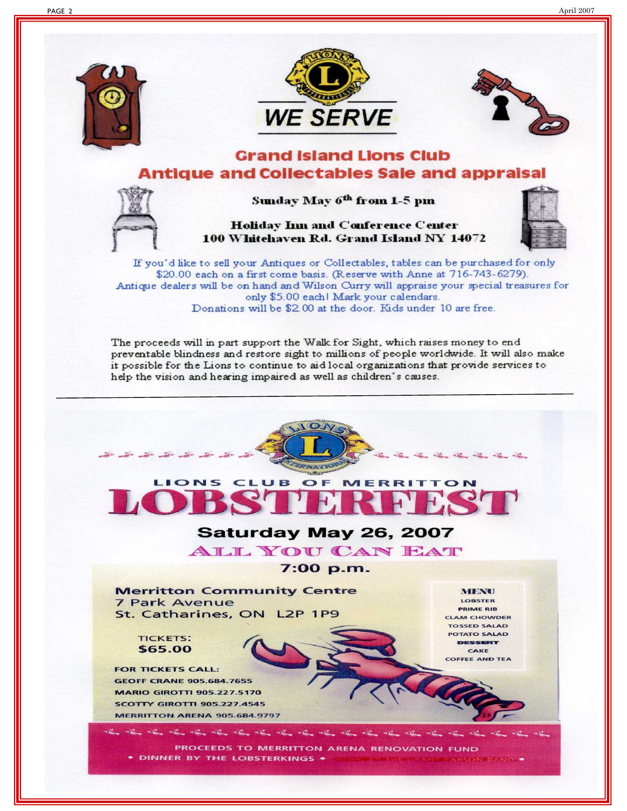







## **Grand Island Lions Club Antique and Collectables Sale and appraisal**



Holiday Inn and Conference Center 100 Whitehaven Rd. Grand Island NY 14072



If you'd like to sell your Antiques or Collectables, tables can be purchased for only \$20.00 each on a first come basis. (Reserve with Anne at 716-743-6279). Antique dealers will be on hand and Wilson Curry will appraise your special treasures for only \$5.00 each! Mark your calendars. Donations will be \$2.00 at the door. Kids under 10 are free.

The proceeds will in part support the Walk for Sight, which raises money to end preventable blindness and restore sight to millions of people worldwide. It will also make it possible for the Lions to continue to aid local organizations that provide services to help the vision and hearing impaired as well as children's causes.